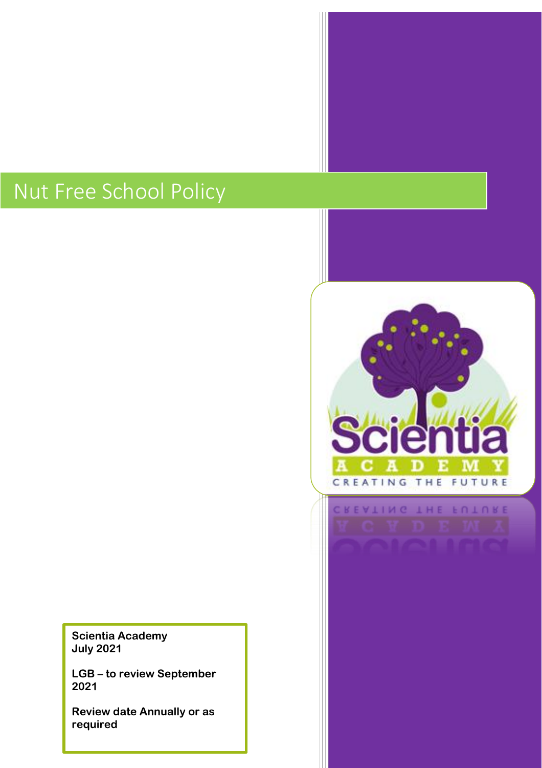# Nut Free School Policy

**Scientia Academy July 2021**

**LGB – to review September 2021**

**Review date Annually or as required**

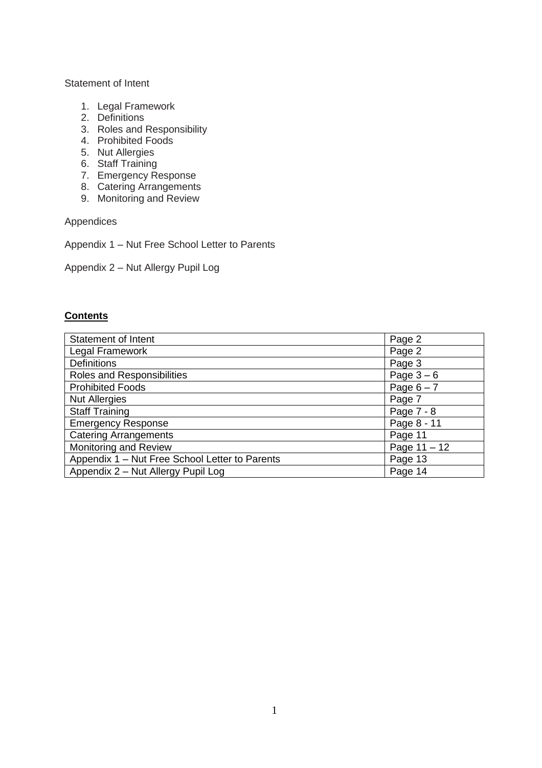#### Statement of Intent

- 1. Legal Framework
- 2. Definitions
- 3. Roles and Responsibility
- 4. Prohibited Foods
- 5. Nut Allergies
- 6. Staff Training
- 7. Emergency Response
- 8. Catering Arrangements
- 9. Monitoring and Review

Appendices

Appendix 1 – Nut Free School Letter to Parents

Appendix 2 – Nut Allergy Pupil Log

#### **Contents**

| <b>Statement of Intent</b>                     | Page 2         |
|------------------------------------------------|----------------|
| Legal Framework                                | Page 2         |
| <b>Definitions</b>                             | Page 3         |
| Roles and Responsibilities                     | Page $3-6$     |
| <b>Prohibited Foods</b>                        | Page $6 - 7$   |
| <b>Nut Allergies</b>                           | Page 7         |
| <b>Staff Training</b>                          | Page 7 - 8     |
| <b>Emergency Response</b>                      | Page 8 - 11    |
| <b>Catering Arrangements</b>                   | Page 11        |
| Monitoring and Review                          | Page $11 - 12$ |
| Appendix 1 - Nut Free School Letter to Parents | Page 13        |
| Appendix 2 - Nut Allergy Pupil Log             | Page 14        |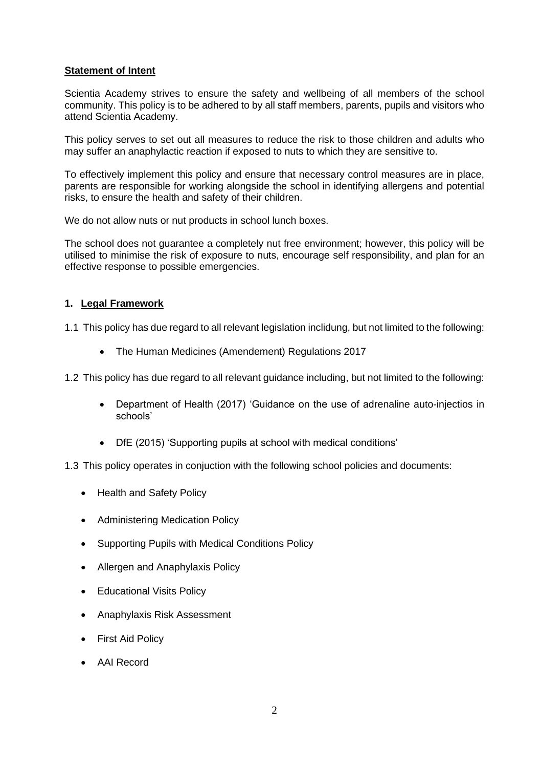## **Statement of Intent**

Scientia Academy strives to ensure the safety and wellbeing of all members of the school community. This policy is to be adhered to by all staff members, parents, pupils and visitors who attend Scientia Academy.

This policy serves to set out all measures to reduce the risk to those children and adults who may suffer an anaphylactic reaction if exposed to nuts to which they are sensitive to.

To effectively implement this policy and ensure that necessary control measures are in place, parents are responsible for working alongside the school in identifying allergens and potential risks, to ensure the health and safety of their children.

We do not allow nuts or nut products in school lunch boxes.

The school does not guarantee a completely nut free environment; however, this policy will be utilised to minimise the risk of exposure to nuts, encourage self responsibility, and plan for an effective response to possible emergencies.

#### **1. Legal Framework**

1.1 This policy has due regard to all relevant legislation inclidung, but not limited to the following:

• The Human Medicines (Amendement) Regulations 2017

1.2 This policy has due regard to all relevant guidance including, but not limited to the following:

- Department of Health (2017) 'Guidance on the use of adrenaline auto-injectios in schools'
- DfE (2015) 'Supporting pupils at school with medical conditions'
- 1.3 This policy operates in conjuction with the following school policies and documents:
	- Health and Safety Policy
	- Administering Medication Policy
	- Supporting Pupils with Medical Conditions Policy
	- Allergen and Anaphylaxis Policy
	- Educational Visits Policy
	- Anaphylaxis Risk Assessment
	- First Aid Policy
	- AAI Record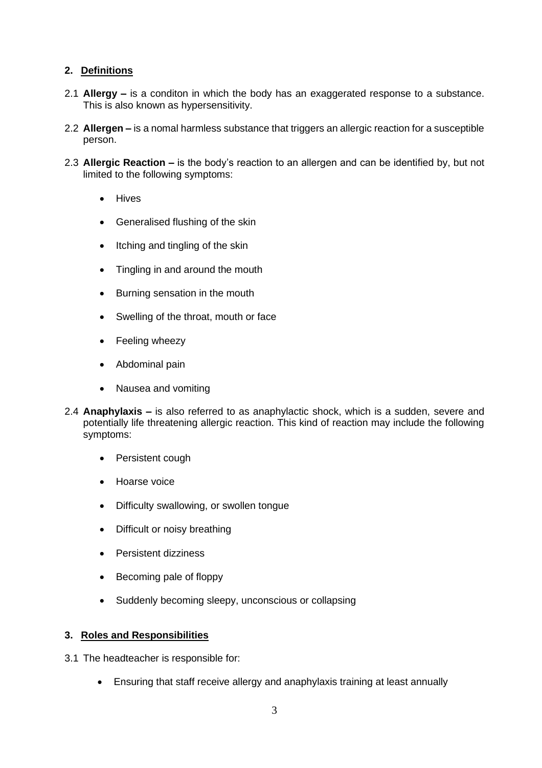# **2. Definitions**

- 2.1 **Allergy –** is a conditon in which the body has an exaggerated response to a substance. This is also known as hypersensitivity.
- 2.2 **Allergen –** is a nomal harmless substance that triggers an allergic reaction for a susceptible person.
- 2.3 **Allergic Reaction –** is the body's reaction to an allergen and can be identified by, but not limited to the following symptoms:
	- Hives
	- Generalised flushing of the skin
	- Itching and tingling of the skin
	- Tingling in and around the mouth
	- Burning sensation in the mouth
	- Swelling of the throat, mouth or face
	- Feeling wheezy
	- Abdominal pain
	- Nausea and vomiting
- 2.4 **Anaphylaxis –** is also referred to as anaphylactic shock, which is a sudden, severe and potentially life threatening allergic reaction. This kind of reaction may include the following symptoms:
	- Persistent cough
	- Hoarse voice
	- Difficulty swallowing, or swollen tongue
	- Difficult or noisy breathing
	- Persistent dizziness
	- Becoming pale of floppy
	- Suddenly becoming sleepy, unconscious or collapsing

# **3. Roles and Responsibilities**

- 3.1 The headteacher is responsible for:
	- Ensuring that staff receive allergy and anaphylaxis training at least annually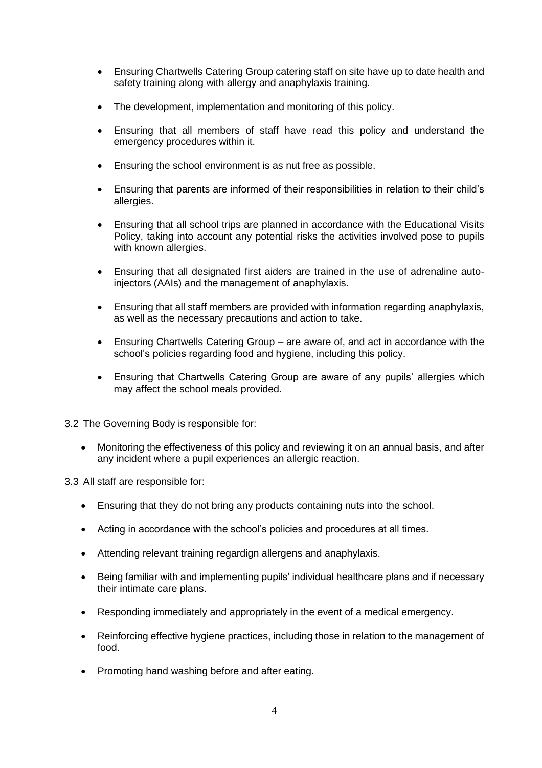- Ensuring Chartwells Catering Group catering staff on site have up to date health and safety training along with allergy and anaphylaxis training.
- The development, implementation and monitoring of this policy.
- Ensuring that all members of staff have read this policy and understand the emergency procedures within it.
- Ensuring the school environment is as nut free as possible.
- Ensuring that parents are informed of their responsibilities in relation to their child's allergies.
- Ensuring that all school trips are planned in accordance with the Educational Visits Policy, taking into account any potential risks the activities involved pose to pupils with known allergies.
- Ensuring that all designated first aiders are trained in the use of adrenaline autoinjectors (AAIs) and the management of anaphylaxis.
- Ensuring that all staff members are provided with information regarding anaphylaxis, as well as the necessary precautions and action to take.
- Ensuring Chartwells Catering Group are aware of, and act in accordance with the school's policies regarding food and hygiene, including this policy.
- Ensuring that Chartwells Catering Group are aware of any pupils' allergies which may affect the school meals provided.
- 3.2 The Governing Body is responsible for:
	- Monitoring the effectiveness of this policy and reviewing it on an annual basis, and after any incident where a pupil experiences an allergic reaction.

3.3 All staff are responsible for:

- Ensuring that they do not bring any products containing nuts into the school.
- Acting in accordance with the school's policies and procedures at all times.
- Attending relevant training regardign allergens and anaphylaxis.
- Being familiar with and implementing pupils' individual healthcare plans and if necessary their intimate care plans.
- Responding immediately and appropriately in the event of a medical emergency.
- Reinforcing effective hygiene practices, including those in relation to the management of food.
- Promoting hand washing before and after eating.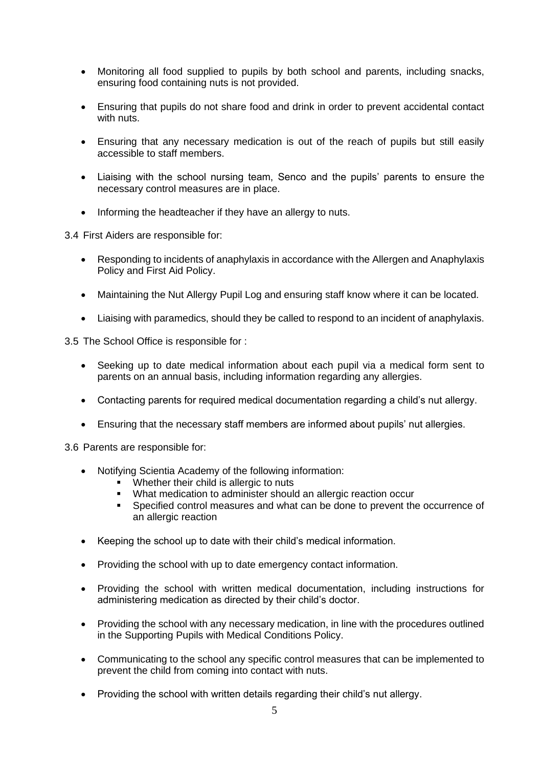- Monitoring all food supplied to pupils by both school and parents, including snacks, ensuring food containing nuts is not provided.
- Ensuring that pupils do not share food and drink in order to prevent accidental contact with nuts.
- Ensuring that any necessary medication is out of the reach of pupils but still easily accessible to staff members.
- Liaising with the school nursing team, Senco and the pupils' parents to ensure the necessary control measures are in place.
- Informing the headteacher if they have an allergy to nuts.

3.4 First Aiders are responsible for:

- Responding to incidents of anaphylaxis in accordance with the Allergen and Anaphylaxis Policy and First Aid Policy.
- Maintaining the Nut Allergy Pupil Log and ensuring staff know where it can be located.
- Liaising with paramedics, should they be called to respond to an incident of anaphylaxis.

3.5 The School Office is responsible for :

- Seeking up to date medical information about each pupil via a medical form sent to parents on an annual basis, including information regarding any allergies.
- Contacting parents for required medical documentation regarding a child's nut allergy.
- Ensuring that the necessary staff members are informed about pupils' nut allergies.

3.6 Parents are responsible for:

- Notifying Scientia Academy of the following information:
	- Whether their child is allergic to nuts
	- What medication to administer should an allergic reaction occur
	- Specified control measures and what can be done to prevent the occurrence of an allergic reaction
- Keeping the school up to date with their child's medical information.
- Providing the school with up to date emergency contact information.
- Providing the school with written medical documentation, including instructions for administering medication as directed by their child's doctor.
- Providing the school with any necessary medication, in line with the procedures outlined in the Supporting Pupils with Medical Conditions Policy.
- Communicating to the school any specific control measures that can be implemented to prevent the child from coming into contact with nuts.
- Providing the school with written details regarding their child's nut allergy.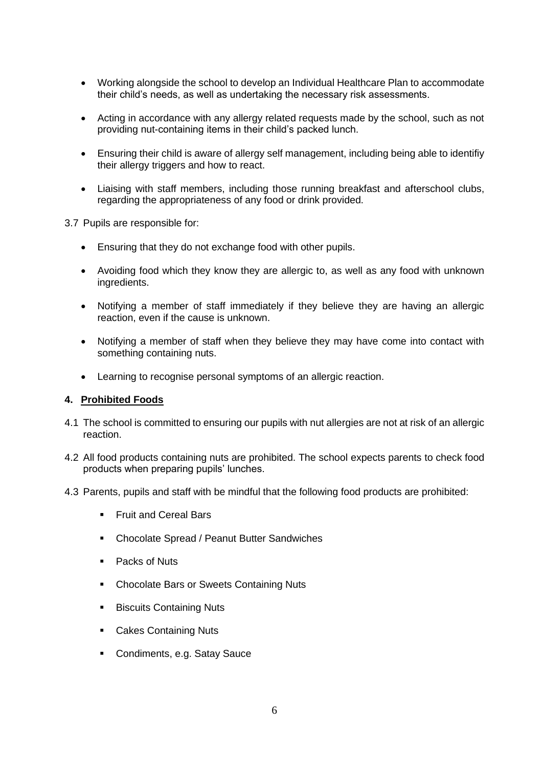- Working alongside the school to develop an Individual Healthcare Plan to accommodate their child's needs, as well as undertaking the necessary risk assessments.
- Acting in accordance with any allergy related requests made by the school, such as not providing nut-containing items in their child's packed lunch.
- Ensuring their child is aware of allergy self management, including being able to identifiy their allergy triggers and how to react.
- Liaising with staff members, including those running breakfast and afterschool clubs, regarding the appropriateness of any food or drink provided.

3.7 Pupils are responsible for:

- Ensuring that they do not exchange food with other pupils.
- Avoiding food which they know they are allergic to, as well as any food with unknown ingredients.
- Notifying a member of staff immediately if they believe they are having an allergic reaction, even if the cause is unknown.
- Notifying a member of staff when they believe they may have come into contact with something containing nuts.
- Learning to recognise personal symptoms of an allergic reaction.

#### **4. Prohibited Foods**

- 4.1 The school is committed to ensuring our pupils with nut allergies are not at risk of an allergic reaction.
- 4.2 All food products containing nuts are prohibited. The school expects parents to check food products when preparing pupils' lunches.
- 4.3 Parents, pupils and staff with be mindful that the following food products are prohibited:
	- **Example 15 Fruit and Cereal Bars**
	- Chocolate Spread / Peanut Butter Sandwiches
	- Packs of Nuts
	- Chocolate Bars or Sweets Containing Nuts
	- Biscuits Containing Nuts
	- Cakes Containing Nuts
	- Condiments, e.g. Satay Sauce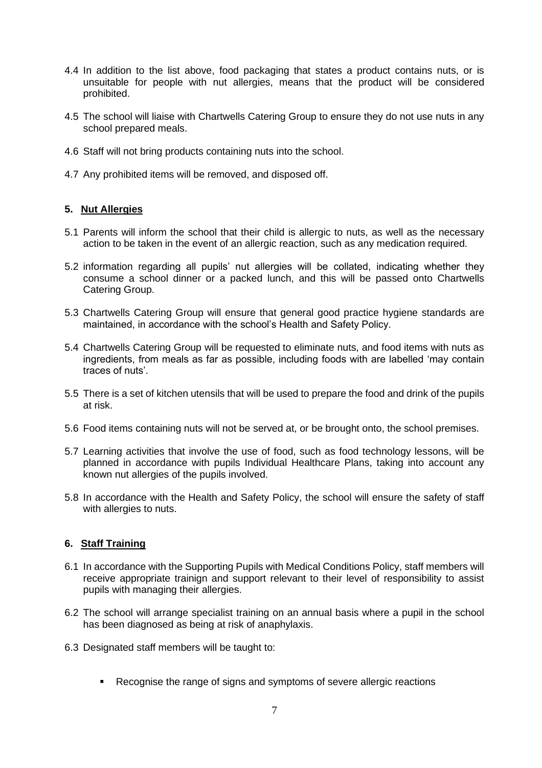- 4.4 In addition to the list above, food packaging that states a product contains nuts, or is unsuitable for people with nut allergies, means that the product will be considered prohibited.
- 4.5 The school will liaise with Chartwells Catering Group to ensure they do not use nuts in any school prepared meals.
- 4.6 Staff will not bring products containing nuts into the school.
- 4.7 Any prohibited items will be removed, and disposed off.

# **5. Nut Allergies**

- 5.1 Parents will inform the school that their child is allergic to nuts, as well as the necessary action to be taken in the event of an allergic reaction, such as any medication required.
- 5.2 information regarding all pupils' nut allergies will be collated, indicating whether they consume a school dinner or a packed lunch, and this will be passed onto Chartwells Catering Group.
- 5.3 Chartwells Catering Group will ensure that general good practice hygiene standards are maintained, in accordance with the school's Health and Safety Policy.
- 5.4 Chartwells Catering Group will be requested to eliminate nuts, and food items with nuts as ingredients, from meals as far as possible, including foods with are labelled 'may contain traces of nuts'.
- 5.5 There is a set of kitchen utensils that will be used to prepare the food and drink of the pupils at risk.
- 5.6 Food items containing nuts will not be served at, or be brought onto, the school premises.
- 5.7 Learning activities that involve the use of food, such as food technology lessons, will be planned in accordance with pupils Individual Healthcare Plans, taking into account any known nut allergies of the pupils involved.
- 5.8 In accordance with the Health and Safety Policy, the school will ensure the safety of staff with allergies to nuts.

#### **6. Staff Training**

- 6.1 In accordance with the Supporting Pupils with Medical Conditions Policy, staff members will receive appropriate trainign and support relevant to their level of responsibility to assist pupils with managing their allergies.
- 6.2 The school will arrange specialist training on an annual basis where a pupil in the school has been diagnosed as being at risk of anaphylaxis.
- 6.3 Designated staff members will be taught to:
	- Recognise the range of signs and symptoms of severe allergic reactions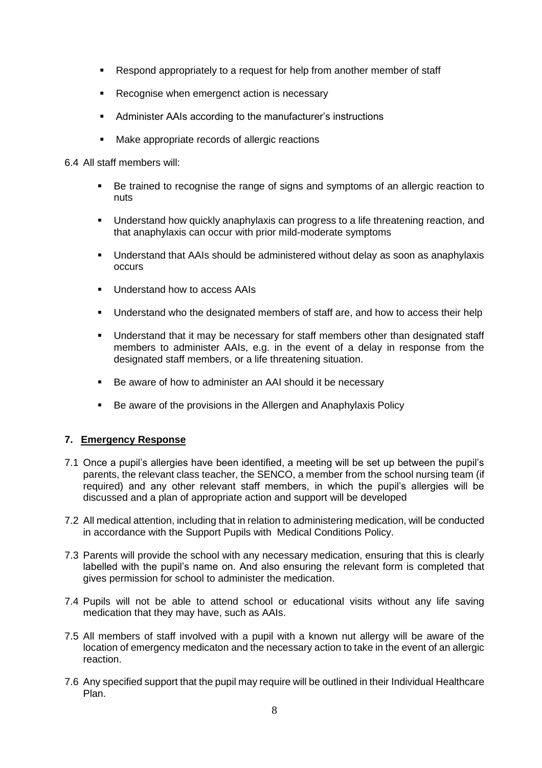- Respond appropriately to a request for help from another member of staff
- Recognise when emergenct action is necessary
- Administer AAIs according to the manufacturer's instructions
- Make appropriate records of allergic reactions

#### 6.4 All staff members will:

- Be trained to recognise the range of signs and symptoms of an allergic reaction to nuts
- **■** Understand how quickly anaphylaxis can progress to a life threatening reaction, and that anaphylaxis can occur with prior mild-moderate symptoms
- Understand that AAIs should be administered without delay as soon as anaphylaxis occurs
- Understand how to access AAIs
- Understand who the designated members of staff are, and how to access their help
- Understand that it may be necessary for staff members other than designated staff members to administer AAIs, e.g. in the event of a delay in response from the designated staff members, or a life threatening situation.
- Be aware of how to administer an AAI should it be necessary
- Be aware of the provisions in the Allergen and Anaphylaxis Policy

# **7. Emergency Response**

- 7.1 Once a pupil's allergies have been identified, a meeting will be set up between the pupil's parents, the relevant class teacher, the SENCO, a member from the school nursing team (if required) and any other relevant staff members, in which the pupil's allergies will be discussed and a plan of appropriate action and support will be developed
- 7.2 All medical attention, including that in relation to administering medication, will be conducted in accordance with the Support Pupils with Medical Conditions Policy.
- 7.3 Parents will provide the school with any necessary medication, ensuring that this is clearly labelled with the pupil's name on. And also ensuring the relevant form is completed that gives permission for school to administer the medication.
- 7.4 Pupils will not be able to attend school or educational visits without any life saving medication that they may have, such as AAIs.
- 7.5 All members of staff involved with a pupil with a known nut allergy will be aware of the location of emergency medicaton and the necessary action to take in the event of an allergic reaction.
- 7.6 Any specified support that the pupil may require will be outlined in their Individual Healthcare Plan.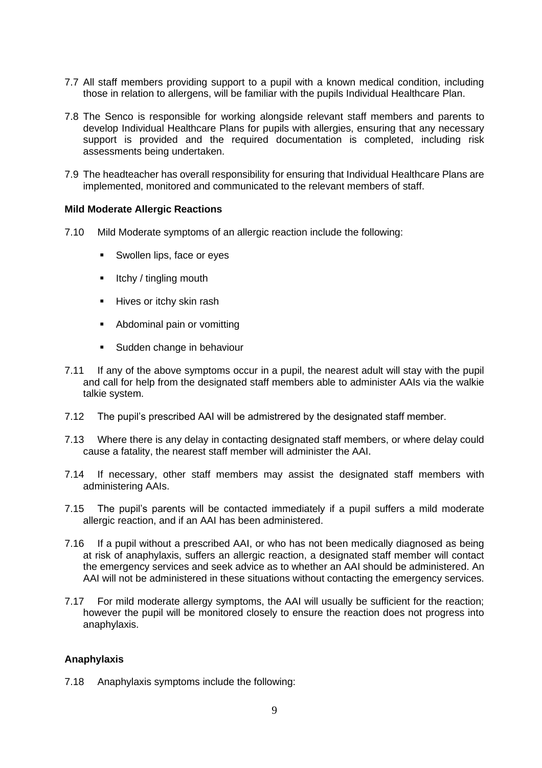- 7.7 All staff members providing support to a pupil with a known medical condition, including those in relation to allergens, will be familiar with the pupils Individual Healthcare Plan.
- 7.8 The Senco is responsible for working alongside relevant staff members and parents to develop Individual Healthcare Plans for pupils with allergies, ensuring that any necessary support is provided and the required documentation is completed, including risk assessments being undertaken.
- 7.9 The headteacher has overall responsibility for ensuring that Individual Healthcare Plans are implemented, monitored and communicated to the relevant members of staff.

#### **Mild Moderate Allergic Reactions**

- 7.10 Mild Moderate symptoms of an allergic reaction include the following:
	- Swollen lips, face or eyes
	- Itchy / tingling mouth
	- Hives or itchy skin rash
	- Abdominal pain or vomitting
	- Sudden change in behaviour
- 7.11 If any of the above symptoms occur in a pupil, the nearest adult will stay with the pupil and call for help from the designated staff members able to administer AAIs via the walkie talkie system.
- 7.12 The pupil's prescribed AAI will be admistrered by the designated staff member.
- 7.13 Where there is any delay in contacting designated staff members, or where delay could cause a fatality, the nearest staff member will administer the AAI.
- 7.14 If necessary, other staff members may assist the designated staff members with administering AAIs.
- 7.15 The pupil's parents will be contacted immediately if a pupil suffers a mild moderate allergic reaction, and if an AAI has been administered.
- 7.16 If a pupil without a prescribed AAI, or who has not been medically diagnosed as being at risk of anaphylaxis, suffers an allergic reaction, a designated staff member will contact the emergency services and seek advice as to whether an AAI should be administered. An AAI will not be administered in these situations without contacting the emergency services.
- 7.17 For mild moderate allergy symptoms, the AAI will usually be sufficient for the reaction; however the pupil will be monitored closely to ensure the reaction does not progress into anaphylaxis.

# **Anaphylaxis**

7.18 Anaphylaxis symptoms include the following: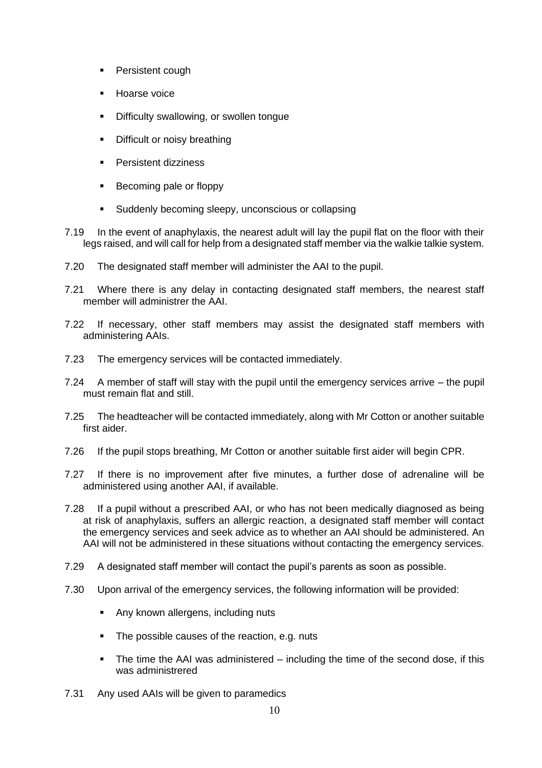- Persistent cough
- Hoarse voice
- Difficulty swallowing, or swollen tongue
- Difficult or noisy breathing
- Persistent dizziness
- Becoming pale or floppy
- Suddenly becoming sleepy, unconscious or collapsing
- 7.19 In the event of anaphylaxis, the nearest adult will lay the pupil flat on the floor with their legs raised, and will call for help from a designated staff member via the walkie talkie system.
- 7.20 The designated staff member will administer the AAI to the pupil.
- 7.21 Where there is any delay in contacting designated staff members, the nearest staff member will administrer the AAI.
- 7.22 If necessary, other staff members may assist the designated staff members with administering AAIs.
- 7.23 The emergency services will be contacted immediately.
- 7.24 A member of staff will stay with the pupil until the emergency services arrive the pupil must remain flat and still.
- 7.25 The headteacher will be contacted immediately, along with Mr Cotton or another suitable first aider.
- 7.26 If the pupil stops breathing, Mr Cotton or another suitable first aider will begin CPR.
- 7.27 If there is no improvement after five minutes, a further dose of adrenaline will be administered using another AAI, if available.
- 7.28 If a pupil without a prescribed AAI, or who has not been medically diagnosed as being at risk of anaphylaxis, suffers an allergic reaction, a designated staff member will contact the emergency services and seek advice as to whether an AAI should be administered. An AAI will not be administered in these situations without contacting the emergency services.
- 7.29 A designated staff member will contact the pupil's parents as soon as possible.
- 7.30 Upon arrival of the emergency services, the following information will be provided:
	- Any known allergens, including nuts
	- The possible causes of the reaction, e.g. nuts
	- The time the AAI was administered including the time of the second dose, if this was administrered
- 7.31 Any used AAIs will be given to paramedics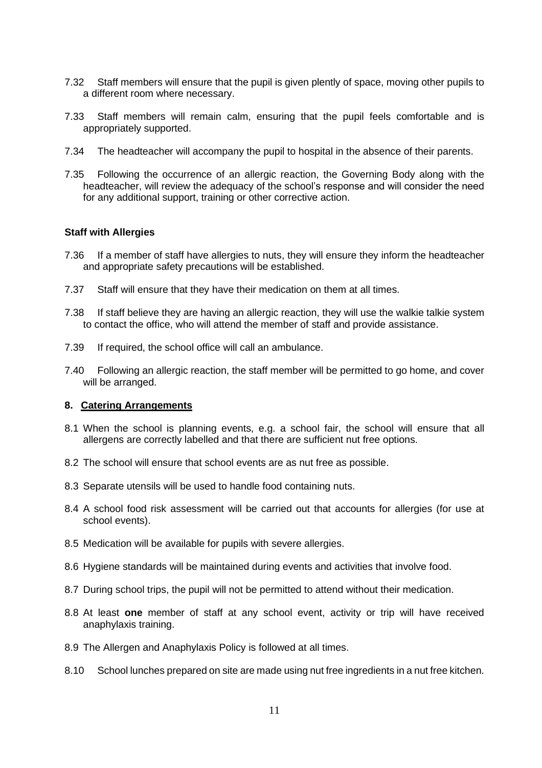- 7.32 Staff members will ensure that the pupil is given plently of space, moving other pupils to a different room where necessary.
- 7.33 Staff members will remain calm, ensuring that the pupil feels comfortable and is appropriately supported.
- 7.34 The headteacher will accompany the pupil to hospital in the absence of their parents.
- 7.35 Following the occurrence of an allergic reaction, the Governing Body along with the headteacher, will review the adequacy of the school's response and will consider the need for any additional support, training or other corrective action.

#### **Staff with Allergies**

- 7.36 If a member of staff have allergies to nuts, they will ensure they inform the headteacher and appropriate safety precautions will be established.
- 7.37 Staff will ensure that they have their medication on them at all times.
- 7.38 If staff believe they are having an allergic reaction, they will use the walkie talkie system to contact the office, who will attend the member of staff and provide assistance.
- 7.39 If required, the school office will call an ambulance.
- 7.40 Following an allergic reaction, the staff member will be permitted to go home, and cover will be arranged.

#### **8. Catering Arrangements**

- 8.1 When the school is planning events, e.g. a school fair, the school will ensure that all allergens are correctly labelled and that there are sufficient nut free options.
- 8.2 The school will ensure that school events are as nut free as possible.
- 8.3 Separate utensils will be used to handle food containing nuts.
- 8.4 A school food risk assessment will be carried out that accounts for allergies (for use at school events).
- 8.5 Medication will be available for pupils with severe allergies.
- 8.6 Hygiene standards will be maintained during events and activities that involve food.
- 8.7 During school trips, the pupil will not be permitted to attend without their medication.
- 8.8 At least **one** member of staff at any school event, activity or trip will have received anaphylaxis training.
- 8.9 The Allergen and Anaphylaxis Policy is followed at all times.
- 8.10 School lunches prepared on site are made using nut free ingredients in a nut free kitchen.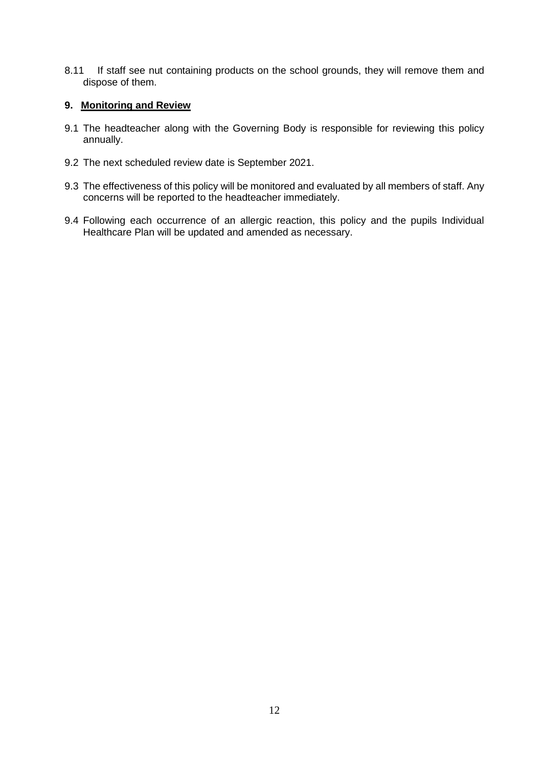8.11 If staff see nut containing products on the school grounds, they will remove them and dispose of them.

# **9. Monitoring and Review**

- 9.1 The headteacher along with the Governing Body is responsible for reviewing this policy annually.
- 9.2 The next scheduled review date is September 2021.
- 9.3 The effectiveness of this policy will be monitored and evaluated by all members of staff. Any concerns will be reported to the headteacher immediately.
- 9.4 Following each occurrence of an allergic reaction, this policy and the pupils Individual Healthcare Plan will be updated and amended as necessary.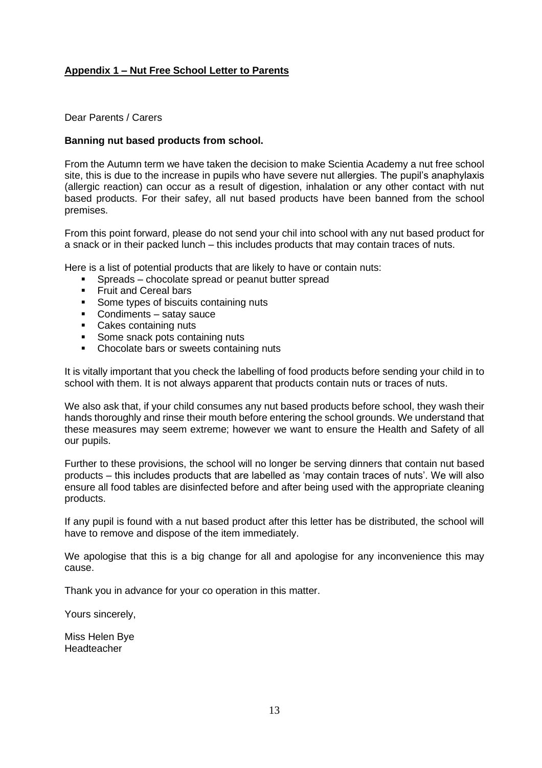# **Appendix 1 – Nut Free School Letter to Parents**

Dear Parents / Carers

#### **Banning nut based products from school.**

From the Autumn term we have taken the decision to make Scientia Academy a nut free school site, this is due to the increase in pupils who have severe nut allergies. The pupil's anaphylaxis (allergic reaction) can occur as a result of digestion, inhalation or any other contact with nut based products. For their safey, all nut based products have been banned from the school premises.

From this point forward, please do not send your chil into school with any nut based product for a snack or in their packed lunch – this includes products that may contain traces of nuts.

Here is a list of potential products that are likely to have or contain nuts:

- Spreads chocolate spread or peanut butter spread
- **Example 1** Fruit and Cereal bars
- Some types of biscuits containing nuts
- Condiments satay sauce
- Cakes containing nuts
- Some snack pots containing nuts
- Chocolate bars or sweets containing nuts

It is vitally important that you check the labelling of food products before sending your child in to school with them. It is not always apparent that products contain nuts or traces of nuts.

We also ask that, if your child consumes any nut based products before school, they wash their hands thoroughly and rinse their mouth before entering the school grounds. We understand that these measures may seem extreme; however we want to ensure the Health and Safety of all our pupils.

Further to these provisions, the school will no longer be serving dinners that contain nut based products – this includes products that are labelled as 'may contain traces of nuts'. We will also ensure all food tables are disinfected before and after being used with the appropriate cleaning products.

If any pupil is found with a nut based product after this letter has be distributed, the school will have to remove and dispose of the item immediately.

We apologise that this is a big change for all and apologise for any inconvenience this may cause.

Thank you in advance for your co operation in this matter.

Yours sincerely,

Miss Helen Bye Headteacher